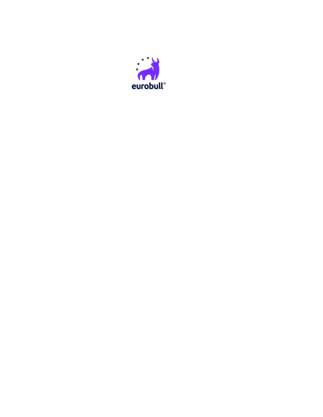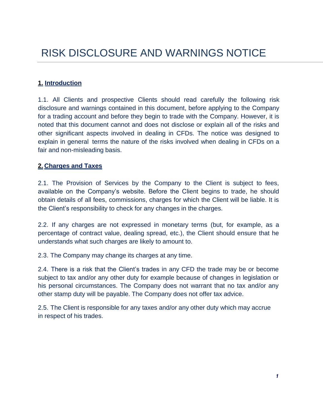### **1. Introduction**

1.1. All Clients and prospective Clients should read carefully the following risk disclosure and warnings contained in this document, before applying to the Company for a trading account and before they begin to trade with the Company. However, it is noted that this document cannot and does not disclose or explain all of the risks and other significant aspects involved in dealing in CFDs. The notice was designed to explain in general terms the nature of the risks involved when dealing in CFDs on a fair and non-misleading basis.

### **2. Charges and Taxes**

2.1. The Provision of Services by the Company to the Client is subject to fees, available on the Company's website. Before the Client begins to trade, he should obtain details of all fees, commissions, charges for which the Client will be liable. It is the Client's responsibility to check for any changes in the charges.

2.2. If any charges are not expressed in monetary terms (but, for example, as a percentage of contract value, dealing spread, etc.), the Client should ensure that he understands what such charges are likely to amount to.

2.3. The Company may change its charges at any time.

2.4. There is a risk that the Client's trades in any CFD the trade may be or become subject to tax and/or any other duty for example because of changes in legislation or his personal circumstances. The Company does not warrant that no tax and/or any other stamp duty will be payable. The Company does not offer tax advice.

2.5. The Client is responsible for any taxes and/or any other duty which may accrue in respect of his trades.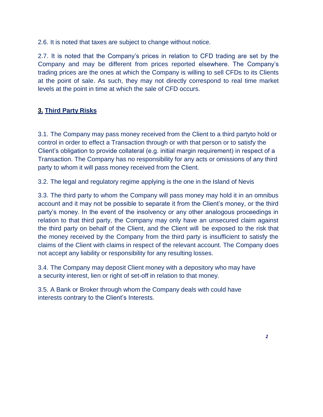2.6. It is noted that taxes are subject to change without notice.

2.7. It is noted that the Company's prices in relation to CFD trading are set by the Company and may be different from prices reported elsewhere. The Company's trading prices are the ones at which the Company is willing to sell CFDs to its Clients at the point of sale. As such, they may not directly correspond to real time market levels at the point in time at which the sale of CFD occurs.

# **3. Third Party Risks**

3.1. The Company may pass money received from the Client to a third partyto hold or control in order to effect a Transaction through or with that person or to satisfy the Client's obligation to provide collateral (e.g. initial margin requirement) in respect of a Transaction. The Company has no responsibility for any acts or omissions of any third party to whom it will pass money received from the Client.

3.2. The legal and regulatory regime applying is the one in the Island of Nevis

3.3. The third party to whom the Company will pass money may hold it in an omnibus account and it may not be possible to separate it from the Client's money, or the third party's money. In the event of the insolvency or any other analogous proceedings in relation to that third party, the Company may only have an unsecured claim against the third party on behalf of the Client, and the Client will be exposed to the risk that the money received by the Company from the third party is insufficient to satisfy the claims of the Client with claims in respect of the relevant account. The Company does not accept any liability or responsibility for any resulting losses.

3.4. The Company may deposit Client money with a depository who may have a security interest, lien or right of set-off in relation to that money.

3.5. A Bank or Broker through whom the Company deals with could have interests contrary to the Client's Interests.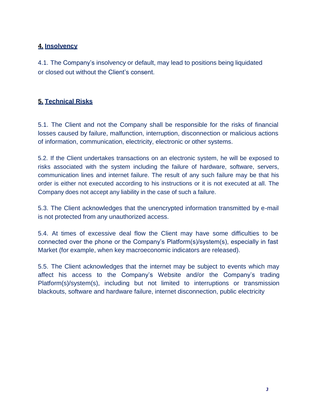# **4. Insolvency**

4.1. The Company's insolvency or default, may lead to positions being liquidated or closed out without the Client's consent.

# **5. Technical Risks**

5.1. The Client and not the Company shall be responsible for the risks of financial losses caused by failure, malfunction, interruption, disconnection or malicious actions of information, communication, electricity, electronic or other systems.

5.2. If the Client undertakes transactions on an electronic system, he will be exposed to risks associated with the system including the failure of hardware, software, servers, communication lines and internet failure. The result of any such failure may be that his order is either not executed according to his instructions or it is not executed at all. The Company does not accept any liability in the case of such a failure.

5.3. The Client acknowledges that the unencrypted information transmitted by e-mail is not protected from any unauthorized access.

5.4. At times of excessive deal flow the Client may have some difficulties to be connected over the phone or the Company's Platform(s)/system(s), especially in fast Market (for example, when key macroeconomic indicators are released).

5.5. The Client acknowledges that the internet may be subject to events which may affect his access to the Company's Website and/or the Company's trading Platform(s)/system(s), including but not limited to interruptions or transmission blackouts, software and hardware failure, internet disconnection, public electricity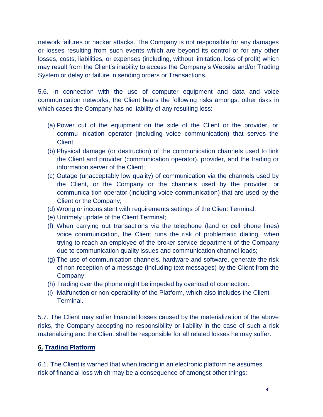network failures or hacker attacks. The Company is not responsible for any damages or losses resulting from such events which are beyond its control or for any other losses, costs, liabilities, or expenses (including, without limitation, loss of profit) which may result from the Client's inability to access the Company's Website and/or Trading System or delay or failure in sending orders or Transactions.

5.6. In connection with the use of computer equipment and data and voice communication networks, the Client bears the following risks amongst other risks in which cases the Company has no liability of any resulting loss:

- (a) Power cut of the equipment on the side of the Client or the provider, or commu- nication operator (including voice communication) that serves the Client;
- (b) Physical damage (or destruction) of the communication channels used to link the Client and provider (communication operator), provider, and the trading or information server of the Client;
- (c) Outage (unacceptably low quality) of communication via the channels used by the Client, or the Company or the channels used by the provider, or communica-tion operator (including voice communication) that are used by the Client or the Company;
- (d) Wrong or inconsistent with requirements settings of the Client Terminal;
- (e) Untimely update of the Client Terminal;
- (f) When carrying out transactions via the telephone (land or cell phone lines) voice communication, the Client runs the risk of problematic dialing, when trying to reach an employee of the broker service department of the Company due to communication quality issues and communication channel loads;
- (g) The use of communication channels, hardware and software, generate the risk of non-reception of a message (including text messages) by the Client from the Company;
- (h) Trading over the phone might be impeded by overload of connection.
- (i) Malfunction or non-operability of the Platform, which also includes the Client Terminal.

5.7. The Client may suffer financial losses caused by the materialization of the above risks, the Company accepting no responsibility or liability in the case of such a risk materializing and the Client shall be responsible for all related losses he may suffer.

## **6. Trading Platform**

6.1. The Client is warned that when trading in an electronic platform he assumes risk of financial loss which may be a consequence of amongst other things: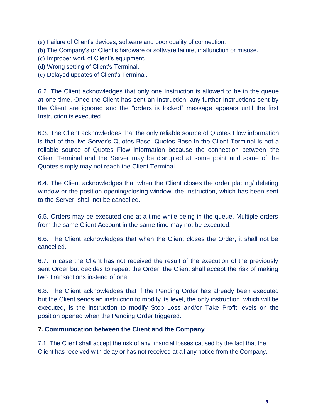- (a) Failure of Client's devices, software and poor quality of connection.
- (b) The Company's or Client's hardware or software failure, malfunction or misuse.
- (c) Improper work of Client's equipment.
- (d) Wrong setting of Client's Terminal.

(e) Delayed updates of Client's Terminal.

6.2. The Client acknowledges that only one Instruction is allowed to be in the queue at one time. Once the Client has sent an Instruction, any further Instructions sent by the Client are ignored and the "orders is locked" message appears until the first Instruction is executed.

6.3. The Client acknowledges that the only reliable source of Quotes Flow information is that of the live Server's Quotes Base. Quotes Base in the Client Terminal is not a reliable source of Quotes Flow information because the connection between the Client Terminal and the Server may be disrupted at some point and some of the Quotes simply may not reach the Client Terminal.

6.4. The Client acknowledges that when the Client closes the order placing/ deleting window or the position opening/closing window, the Instruction, which has been sent to the Server, shall not be cancelled.

6.5. Orders may be executed one at a time while being in the queue. Multiple orders from the same Client Account in the same time may not be executed.

6.6. The Client acknowledges that when the Client closes the Order, it shall not be cancelled.

6.7. In case the Client has not received the result of the execution of the previously sent Order but decides to repeat the Order, the Client shall accept the risk of making two Transactions instead of one.

6.8. The Client acknowledges that if the Pending Order has already been executed but the Client sends an instruction to modify its level, the only instruction, which will be executed, is the instruction to modify Stop Loss and/or Take Profit levels on the position opened when the Pending Order triggered.

## **7. Communication between the Client and the Company**

7.1. The Client shall accept the risk of any financial losses caused by the fact that the Client has received with delay or has not received at all any notice from the Company.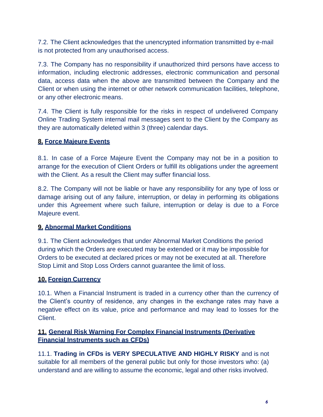7.2. The Client acknowledges that the unencrypted information transmitted by e-mail is not protected from any unauthorised access.

7.3. The Company has no responsibility if unauthorized third persons have access to information, including electronic addresses, electronic communication and personal data, access data when the above are transmitted between the Company and the Client or when using the internet or other network communication facilities, telephone, or any other electronic means.

7.4. The Client is fully responsible for the risks in respect of undelivered Company Online Trading System internal mail messages sent to the Client by the Company as they are automatically deleted within 3 (three) calendar days.

# **8. Force Majeure Events**

8.1. In case of a Force Majeure Event the Company may not be in a position to arrange for the execution of Client Orders or fulfill its obligations under the agreement with the Client. As a result the Client may suffer financial loss.

8.2. The Company will not be liable or have any responsibility for any type of loss or damage arising out of any failure, interruption, or delay in performing its obligations under this Agreement where such failure, interruption or delay is due to a Force Majeure event.

## **9. Abnormal Market Conditions**

9.1. The Client acknowledges that under Abnormal Market Conditions the period during which the Orders are executed may be extended or it may be impossible for Orders to be executed at declared prices or may not be executed at all. Therefore Stop Limit and Stop Loss Orders cannot guarantee the limit of loss.

## **10. Foreign Currency**

10.1. When a Financial Instrument is traded in a currency other than the currency of the Client's country of residence, any changes in the exchange rates may have a negative effect on its value, price and performance and may lead to losses for the Client.

## **11. General Risk Warning For Complex Financial Instruments (Derivative Financial Instruments such as CFDs)**

11.1. **Trading in CFDs is VERY SPECULATIVE AND HIGHLY RISKY** and is not suitable for all members of the general public but only for those investors who: (a) understand and are willing to assume the economic, legal and other risks involved.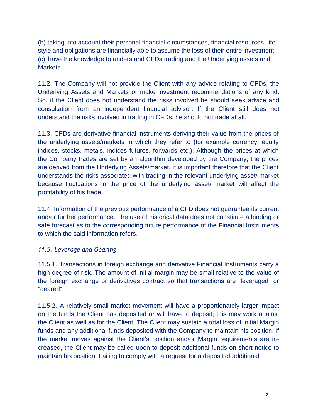(b) taking into account their personal financial circumstances, financial resources, life style and obligations are financially able to assume the loss of their entire investment. (c) have the knowledge to understand CFDs trading and the Underlying assets and Markets.

11.2. The Company will not provide the Client with any advice relating to CFDs, the Underlying Assets and Markets or make investment recommendations of any kind. So, if the Client does not understand the risks involved he should seek advice and consultation from an independent financial advisor. If the Client still does not understand the risks involved in trading in CFDs, he should not trade at all.

11.3. CFDs are derivative financial instruments deriving their value from the prices of the underlying assets/markets in which they refer to (for example currency, equity indices, stocks, metals, indices futures, forwards etc.). Although the prices at which the Company trades are set by an algorithm developed by the Company, the prices are derived from the Underlying Assets/market. It is important therefore that the Client understands the risks associated with trading in the relevant underlying asset/ market because fluctuations in the price of the underlying asset/ market will affect the profitability of his trade.

11.4. Information of the previous performance of a CFD does not guarantee its current and/or further performance. The use of historical data does not constitute a binding or safe forecast as to the corresponding future performance of the Financial Instruments to which the said information refers.

### *11.5. Leverage and Gearing*

11.5.1. Transactions in foreign exchange and derivative Financial Instruments carry a high degree of risk. The amount of initial margin may be small relative to the value of the foreign exchange or derivatives contract so that transactions are "leveraged" or "geared".

11.5.2. A relatively small market movement will have a proportionately larger impact on the funds the Client has deposited or will have to deposit; this may work against the Client as well as for the Client. The Client may sustain a total loss of initial Margin funds and any additional funds deposited with the Company to maintain his position. If the market moves against the Client's position and/or Margin requirements are increased, the Client may be called upon to deposit additional funds on short notice to maintain his position. Failing to comply with a request for a deposit of additional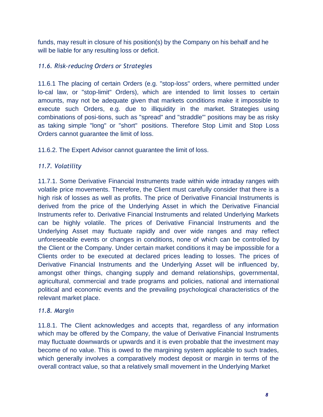funds, may result in closure of his position(s) by the Company on his behalf and he will be liable for any resulting loss or deficit.

## *11.6. Risk-reducing Orders or Strategies*

11.6.1 The placing of certain Orders (e.g. "stop-loss" orders, where permitted under lo-cal law, or "stop-limit" Orders), which are intended to limit losses to certain amounts, may not be adequate given that markets conditions make it impossible to execute such Orders, e.g. due to illiquidity in the market. Strategies using combinations of posi-tions, such as "spread" and "straddle"' positions may be as risky as taking simple "long" or "short" positions. Therefore Stop Limit and Stop Loss Orders cannot guarantee the limit of loss.

11.6.2. The Expert Advisor cannot guarantee the limit of loss.

## *11.7. Volatility*

11.7.1. Some Derivative Financial Instruments trade within wide intraday ranges with volatile price movements. Therefore, the Client must carefully consider that there is a high risk of losses as well as profits. The price of Derivative Financial Instruments is derived from the price of the Underlying Asset in which the Derivative Financial Instruments refer to. Derivative Financial Instruments and related Underlying Markets can be highly volatile. The prices of Derivative Financial Instruments and the Underlying Asset may fluctuate rapidly and over wide ranges and may reflect unforeseeable events or changes in conditions, none of which can be controlled by the Client or the Company. Under certain market conditions it may be impossible for a Clients order to be executed at declared prices leading to losses. The prices of Derivative Financial Instruments and the Underlying Asset will be influenced by, amongst other things, changing supply and demand relationships, governmental, agricultural, commercial and trade programs and policies, national and international political and economic events and the prevailing psychological characteristics of the relevant market place.

## *11.8. Margin*

11.8.1. The Client acknowledges and accepts that, regardless of any information which may be offered by the Company, the value of Derivative Financial Instruments may fluctuate downwards or upwards and it is even probable that the investment may become of no value. This is owed to the margining system applicable to such trades, which generally involves a comparatively modest deposit or margin in terms of the overall contract value, so that a relatively small movement in the Underlying Market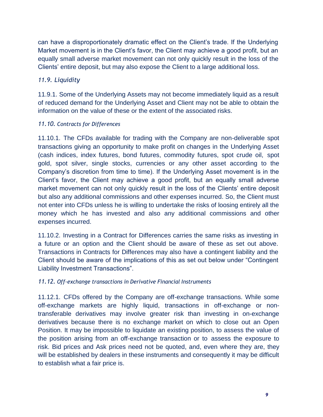can have a disproportionately dramatic effect on the Client's trade. If the Underlying Market movement is in the Client's favor, the Client may achieve a good profit, but an equally small adverse market movement can not only quickly result in the loss of the Clients' entire deposit, but may also expose the Client to a large additional loss.

## *11.9. Liquidity*

11.9.1. Some of the Underlying Assets may not become immediately liquid as a result of reduced demand for the Underlying Asset and Client may not be able to obtain the information on the value of these or the extent of the associated risks.

### *11.10. Contracts for Differences*

11.10.1. The CFDs available for trading with the Company are non-deliverable spot transactions giving an opportunity to make profit on changes in the Underlying Asset (cash indices, index futures, bond futures, commodity futures, spot crude oil, spot gold, spot silver, single stocks, currencies or any other asset according to the Company's discretion from time to time). If the Underlying Asset movement is in the Client's favor, the Client may achieve a good profit, but an equally small adverse market movement can not only quickly result in the loss of the Clients' entire deposit but also any additional commissions and other expenses incurred. So, the Client must not enter into CFDs unless he is willing to undertake the risks of loosing entirely all the money which he has invested and also any additional commissions and other expenses incurred.

11.10.2. Investing in a Contract for Differences carries the same risks as investing in a future or an option and the Client should be aware of these as set out above. Transactions in Contracts for Differences may also have a contingent liability and the Client should be aware of the implications of this as set out below under "Contingent Liability Investment Transactions".

### *11.12. Off-exchange transactions in Derivative Financial Instruments*

11.12.1. CFDs offered by the Company are off-exchange transactions. While some off-exchange markets are highly liquid, transactions in off-exchange or nontransferable derivatives may involve greater risk than investing in on-exchange derivatives because there is no exchange market on which to close out an Open Position. It may be impossible to liquidate an existing position, to assess the value of the position arising from an off-exchange transaction or to assess the exposure to risk. Bid prices and Ask prices need not be quoted, and, even where they are, they will be established by dealers in these instruments and consequently it may be difficult to establish what a fair price is.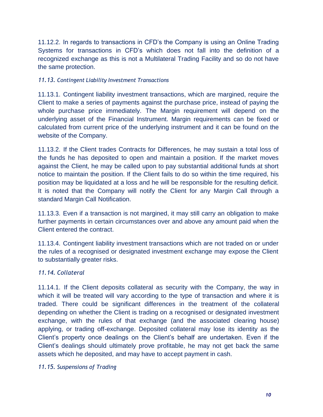11.12.2. In regards to transactions in CFD's the Company is using an Online Trading Systems for transactions in CFD's which does not fall into the definition of a recognized exchange as this is not a Multilateral Trading Facility and so do not have the same protection.

#### *11.13. Contingent Liability Investment Transactions*

11.13.1. Contingent liability investment transactions, which are margined, require the Client to make a series of payments against the purchase price, instead of paying the whole purchase price immediately. The Margin requirement will depend on the underlying asset of the Financial Instrument. Margin requirements can be fixed or calculated from current price of the underlying instrument and it can be found on the website of the Company.

11.13.2. If the Client trades Contracts for Differences, he may sustain a total loss of the funds he has deposited to open and maintain a position. If the market moves against the Client, he may be called upon to pay substantial additional funds at short notice to maintain the position. If the Client fails to do so within the time required, his position may be liquidated at a loss and he will be responsible for the resulting deficit. It is noted that the Company will notify the Client for any Margin Call through a standard Margin Call Notification.

11.13.3. Even if a transaction is not margined, it may still carry an obligation to make further payments in certain circumstances over and above any amount paid when the Client entered the contract.

11.13.4. Contingent liability investment transactions which are not traded on or under the rules of a recognised or designated investment exchange may expose the Client to substantially greater risks.

#### *11.14. Collateral*

11.14.1. If the Client deposits collateral as security with the Company, the way in which it will be treated will vary according to the type of transaction and where it is traded. There could be significant differences in the treatment of the collateral depending on whether the Client is trading on a recognised or designated investment exchange, with the rules of that exchange (and the associated clearing house) applying, or trading off-exchange. Deposited collateral may lose its identity as the Client's property once dealings on the Client's behalf are undertaken. Even if the Client's dealings should ultimately prove profitable, he may not get back the same assets which he deposited, and may have to accept payment in cash.

#### *11.15. Suspensions of Trading*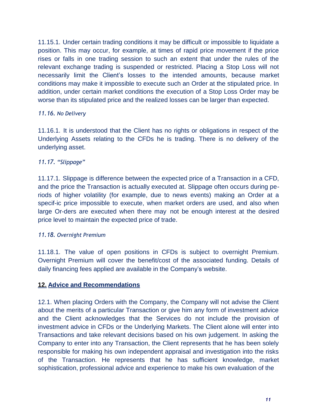11.15.1. Under certain trading conditions it may be difficult or impossible to liquidate a position. This may occur, for example, at times of rapid price movement if the price rises or falls in one trading session to such an extent that under the rules of the relevant exchange trading is suspended or restricted. Placing a Stop Loss will not necessarily limit the Client's losses to the intended amounts, because market conditions may make it impossible to execute such an Order at the stipulated price. In addition, under certain market conditions the execution of a Stop Loss Order may be worse than its stipulated price and the realized losses can be larger than expected.

### *11.16. No Delivery*

11.16.1. It is understood that the Client has no rights or obligations in respect of the Underlying Assets relating to the CFDs he is trading. There is no delivery of the underlying asset.

### *11.17. "Slippage"*

11.17.1. Slippage is difference between the expected price of a Transaction in a CFD, and the price the Transaction is actually executed at. Slippage often occurs during periods of higher volatility (for example, due to news events) making an Order at a specif-ic price impossible to execute, when market orders are used, and also when large Or-ders are executed when there may not be enough interest at the desired price level to maintain the expected price of trade.

#### *11.18. Overnight Premium*

11.18.1. The value of open positions in CFDs is subject to overnight Premium. Overnight Premium will cover the benefit/cost of the associated funding. Details of daily financing fees applied are available in the Company's website.

### **12. Advice and Recommendations**

12.1. When placing Orders with the Company, the Company will not advise the Client about the merits of a particular Transaction or give him any form of investment advice and the Client acknowledges that the Services do not include the provision of investment advice in CFDs or the Underlying Markets. The Client alone will enter into Transactions and take relevant decisions based on his own judgement. In asking the Company to enter into any Transaction, the Client represents that he has been solely responsible for making his own independent appraisal and investigation into the risks of the Transaction. He represents that he has sufficient knowledge, market sophistication, professional advice and experience to make his own evaluation of the